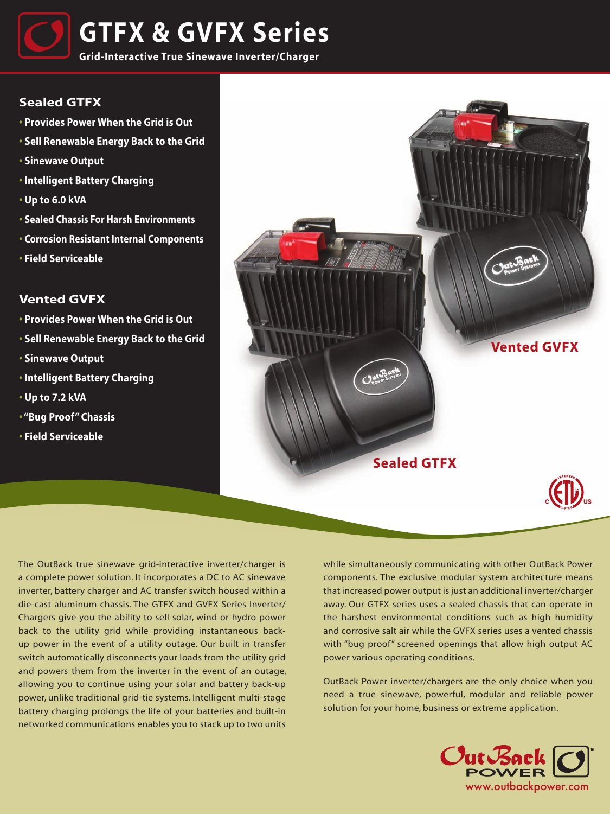

## **Sealed GTFX**

- **Provides Power When the Grid is Out**
- **Sell Renewable Energy Back to the Grid**
- **Sinewave Output**
- **Intelligent Battery Charging**
- **Up to 6.0 kVA**
- **Sealed Chassis For Harsh Environments**
- **• Corrosion Resistant Internal Components**
- **Field Serviceable**

## **Vented GVFX**

- **Provides Power When the Grid is Out**
- **Sell Renewable Energy Back to the Grid**
- **Sinewave Output**
- **Intelligent Battery Charging**
- **Up to 7.2 kVA**
- **"Bug Proof" Chassis**
- **Field Serviceable**



The OutBack true sinewave grid-interactive inverter/charger is a complete power solution. It incorporates a DC to AC sinewave inverter, battery charger and AC transfer switch housed within a die-cast aluminum chassis. The GTFX and GVFX Series Inverter/ Chargers give you the ability to sell solar, wind or hydro power back to the utility grid while providing instantaneous backup power in the event of a utility outage. Our built in transfer switch automatically disconnects your loads from the utility grid and powers them from the inverter in the event of an outage, allowing you to continue using your solar and battery back-up power, unlike traditional grid-tie systems. Intelligent multi-stage battery charging prolongs the life of your batteries and built-in networked communications enables you to stack up to two units

while simultaneously communicating with other OutBack Power components. The exclusive modular system architecture means that increased power output is just an additional inverter/charger away. Our GTFX series uses a sealed chassis that can operate in the harshest environmental conditions such as high humidity and corrosive salt air while the GVFX series uses a vented chassis with "bug proof" screened openings that allow high output AC power various operating conditions.

OutBack Power inverter/chargers are the only choice when you need a true sinewave, powerful, modular and reliable power solution for your home, business or extreme application.